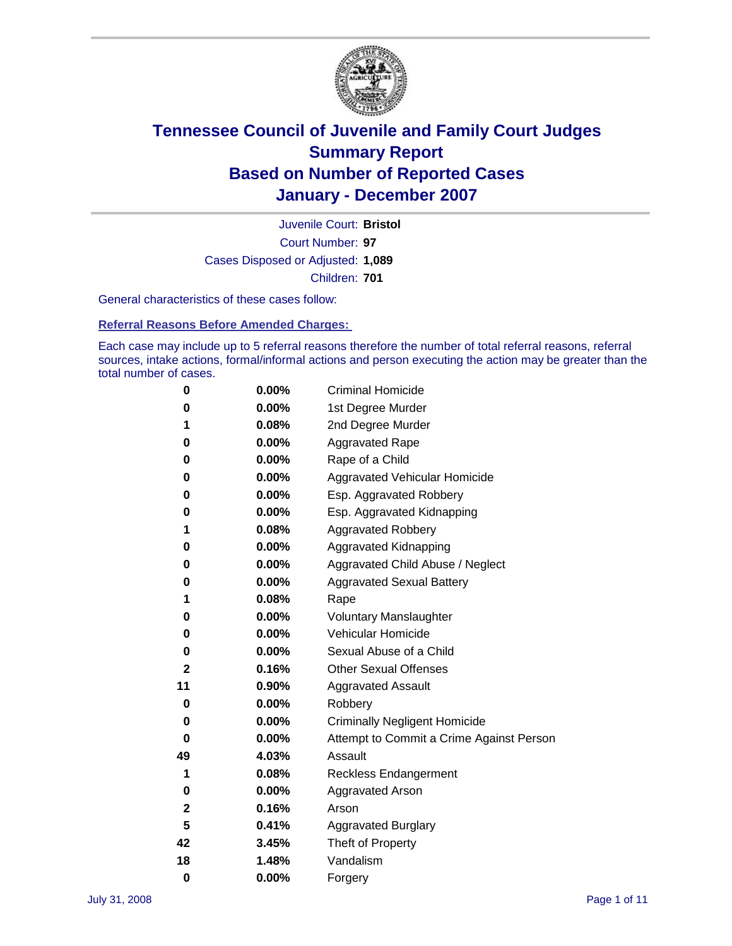

Court Number: **97** Juvenile Court: **Bristol** Cases Disposed or Adjusted: **1,089** Children: **701**

General characteristics of these cases follow:

**Referral Reasons Before Amended Charges:** 

Each case may include up to 5 referral reasons therefore the number of total referral reasons, referral sources, intake actions, formal/informal actions and person executing the action may be greater than the total number of cases.

| 0            | 0.00%    | <b>Criminal Homicide</b>                 |
|--------------|----------|------------------------------------------|
| 0            | 0.00%    | 1st Degree Murder                        |
| 1            | 0.08%    | 2nd Degree Murder                        |
| 0            | 0.00%    | <b>Aggravated Rape</b>                   |
| 0            | 0.00%    | Rape of a Child                          |
| 0            | 0.00%    | Aggravated Vehicular Homicide            |
| 0            | 0.00%    | Esp. Aggravated Robbery                  |
| 0            | 0.00%    | Esp. Aggravated Kidnapping               |
| 1            | 0.08%    | <b>Aggravated Robbery</b>                |
| 0            | 0.00%    | Aggravated Kidnapping                    |
| 0            | 0.00%    | Aggravated Child Abuse / Neglect         |
| 0            | $0.00\%$ | <b>Aggravated Sexual Battery</b>         |
| 1            | 0.08%    | Rape                                     |
| 0            | 0.00%    | <b>Voluntary Manslaughter</b>            |
| 0            | 0.00%    | Vehicular Homicide                       |
| 0            | 0.00%    | Sexual Abuse of a Child                  |
| $\mathbf{2}$ | 0.16%    | <b>Other Sexual Offenses</b>             |
| 11           | 0.90%    | <b>Aggravated Assault</b>                |
| 0            | $0.00\%$ | Robbery                                  |
| 0            | 0.00%    | <b>Criminally Negligent Homicide</b>     |
| 0            | 0.00%    | Attempt to Commit a Crime Against Person |
| 49           | 4.03%    | Assault                                  |
| 1            | 0.08%    | <b>Reckless Endangerment</b>             |
| 0            | 0.00%    | <b>Aggravated Arson</b>                  |
| 2            | 0.16%    | Arson                                    |
| 5            | 0.41%    | <b>Aggravated Burglary</b>               |
| 42           | 3.45%    | Theft of Property                        |
| 18           | 1.48%    | Vandalism                                |
| 0            | 0.00%    | Forgery                                  |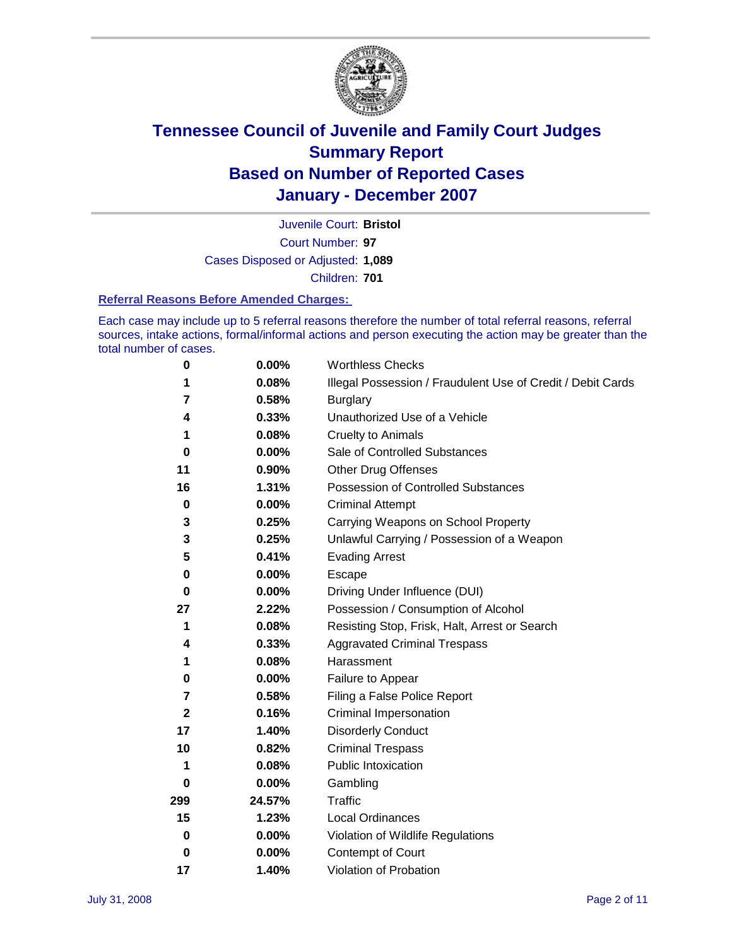

Court Number: **97** Juvenile Court: **Bristol** Cases Disposed or Adjusted: **1,089** Children: **701**

#### **Referral Reasons Before Amended Charges:**

Each case may include up to 5 referral reasons therefore the number of total referral reasons, referral sources, intake actions, formal/informal actions and person executing the action may be greater than the total number of cases.

| 0           | 0.00%    | <b>Worthless Checks</b>                                     |
|-------------|----------|-------------------------------------------------------------|
| 1           | 0.08%    | Illegal Possession / Fraudulent Use of Credit / Debit Cards |
| 7           | 0.58%    | <b>Burglary</b>                                             |
| 4           | 0.33%    | Unauthorized Use of a Vehicle                               |
| 1           | 0.08%    | <b>Cruelty to Animals</b>                                   |
| 0           | $0.00\%$ | Sale of Controlled Substances                               |
| 11          | 0.90%    | <b>Other Drug Offenses</b>                                  |
| 16          | 1.31%    | Possession of Controlled Substances                         |
| $\mathbf 0$ | $0.00\%$ | <b>Criminal Attempt</b>                                     |
| 3           | 0.25%    | Carrying Weapons on School Property                         |
| 3           | 0.25%    | Unlawful Carrying / Possession of a Weapon                  |
| 5           | 0.41%    | <b>Evading Arrest</b>                                       |
| 0           | 0.00%    | Escape                                                      |
| $\bf{0}$    | 0.00%    | Driving Under Influence (DUI)                               |
| 27          | 2.22%    | Possession / Consumption of Alcohol                         |
| 1           | 0.08%    | Resisting Stop, Frisk, Halt, Arrest or Search               |
| 4           | 0.33%    | <b>Aggravated Criminal Trespass</b>                         |
| 1           | 0.08%    | Harassment                                                  |
| 0           | 0.00%    | Failure to Appear                                           |
| 7           | 0.58%    | Filing a False Police Report                                |
| $\mathbf 2$ | 0.16%    | Criminal Impersonation                                      |
| 17          | 1.40%    | <b>Disorderly Conduct</b>                                   |
| 10          | 0.82%    | <b>Criminal Trespass</b>                                    |
| 1           | 0.08%    | <b>Public Intoxication</b>                                  |
| 0           | 0.00%    | Gambling                                                    |
| 299         | 24.57%   | Traffic                                                     |
| 15          | 1.23%    | <b>Local Ordinances</b>                                     |
| 0           | $0.00\%$ | Violation of Wildlife Regulations                           |
| 0           | $0.00\%$ | Contempt of Court                                           |
| 17          | 1.40%    | Violation of Probation                                      |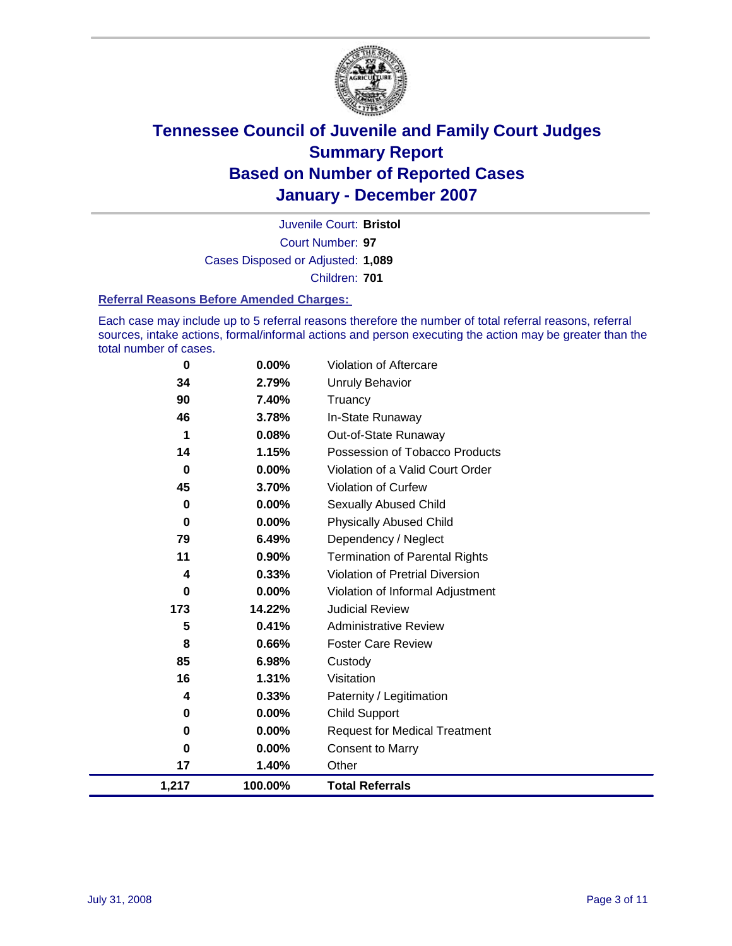

Court Number: **97** Juvenile Court: **Bristol** Cases Disposed or Adjusted: **1,089** Children: **701**

#### **Referral Reasons Before Amended Charges:**

Each case may include up to 5 referral reasons therefore the number of total referral reasons, referral sources, intake actions, formal/informal actions and person executing the action may be greater than the total number of cases.

| 1,217    | 100.00%  | <b>Total Referrals</b>                 |
|----------|----------|----------------------------------------|
| 17       | 1.40%    | Other                                  |
| 0        | 0.00%    | <b>Consent to Marry</b>                |
| 0        | $0.00\%$ | <b>Request for Medical Treatment</b>   |
| 0        | 0.00%    | <b>Child Support</b>                   |
| 4        | 0.33%    | Paternity / Legitimation               |
| 16       | 1.31%    | Visitation                             |
| 85       | 6.98%    | Custody                                |
| 8        | 0.66%    | <b>Foster Care Review</b>              |
| 5        | 0.41%    | <b>Administrative Review</b>           |
| 173      | 14.22%   | <b>Judicial Review</b>                 |
| 0        | $0.00\%$ | Violation of Informal Adjustment       |
| 4        | 0.33%    | <b>Violation of Pretrial Diversion</b> |
| 11       | 0.90%    | <b>Termination of Parental Rights</b>  |
| 79       | 6.49%    | Dependency / Neglect                   |
| $\bf{0}$ | 0.00%    | <b>Physically Abused Child</b>         |
| 0        | 0.00%    | <b>Sexually Abused Child</b>           |
| 45       | 3.70%    | Violation of Curfew                    |
| $\bf{0}$ | 0.00%    | Violation of a Valid Court Order       |
| 14       | 1.15%    | Possession of Tobacco Products         |
| 1        | 0.08%    | Out-of-State Runaway                   |
| 46       | 3.78%    | In-State Runaway                       |
| 90       | 7.40%    | Truancy                                |
| 34       | 2.79%    | <b>Unruly Behavior</b>                 |
| 0        | 0.00%    | Violation of Aftercare                 |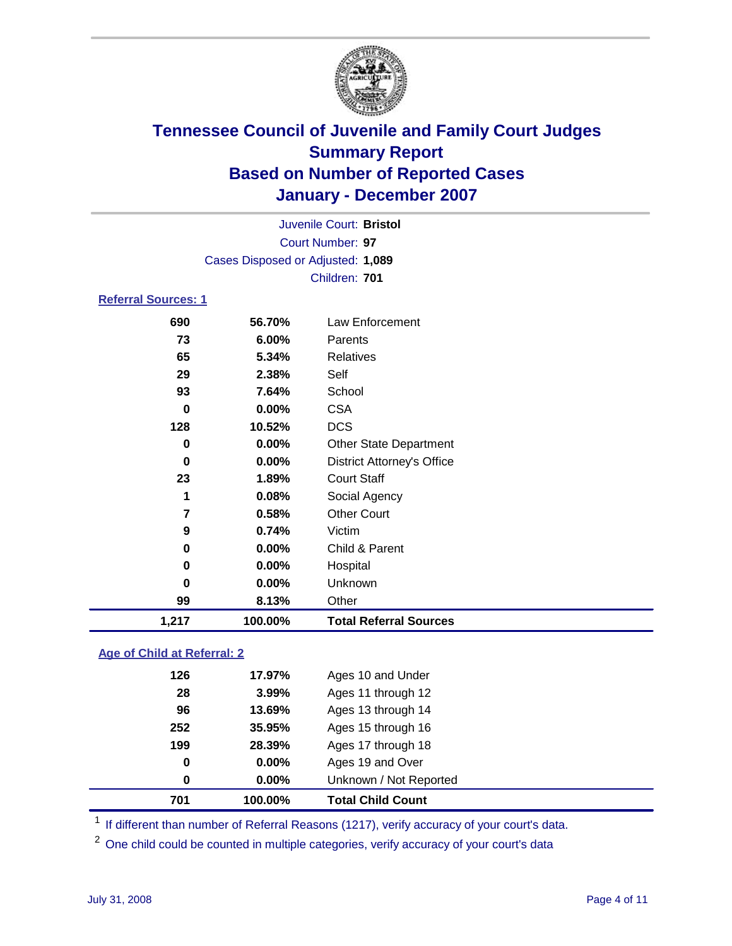

Court Number: **97** Juvenile Court: **Bristol** Cases Disposed or Adjusted: **1,089** Children: **701**

### **Referral Sources: 1**

| 1,217 | 100.00%  | <b>Total Referral Sources</b>     |
|-------|----------|-----------------------------------|
| 99    | 8.13%    | Other                             |
| 0     | 0.00%    | Unknown                           |
| 0     | 0.00%    | Hospital                          |
| 0     | $0.00\%$ | Child & Parent                    |
| 9     | 0.74%    | Victim                            |
| 7     | 0.58%    | <b>Other Court</b>                |
| 1     | 0.08%    | Social Agency                     |
| 23    | 1.89%    | <b>Court Staff</b>                |
| 0     | 0.00%    | <b>District Attorney's Office</b> |
| 0     | 0.00%    | <b>Other State Department</b>     |
| 128   | 10.52%   | <b>DCS</b>                        |
| 0     | 0.00%    | <b>CSA</b>                        |
| 93    | 7.64%    | School                            |
| 29    | 2.38%    | Self                              |
| 65    | 5.34%    | Relatives                         |
| 73    | 6.00%    | Parents                           |
| 690   | 56.70%   | Law Enforcement                   |
|       |          |                                   |

#### **Age of Child at Referral: 2**

| 701 | 100.00%  | <b>Total Child Count</b> |  |
|-----|----------|--------------------------|--|
| 0   | $0.00\%$ | Unknown / Not Reported   |  |
| 0   | $0.00\%$ | Ages 19 and Over         |  |
| 199 | 28.39%   | Ages 17 through 18       |  |
| 252 | 35.95%   | Ages 15 through 16       |  |
| 96  | 13.69%   | Ages 13 through 14       |  |
| 28  | 3.99%    | Ages 11 through 12       |  |
| 126 | 17.97%   | Ages 10 and Under        |  |
|     |          |                          |  |

<sup>1</sup> If different than number of Referral Reasons (1217), verify accuracy of your court's data.

<sup>2</sup> One child could be counted in multiple categories, verify accuracy of your court's data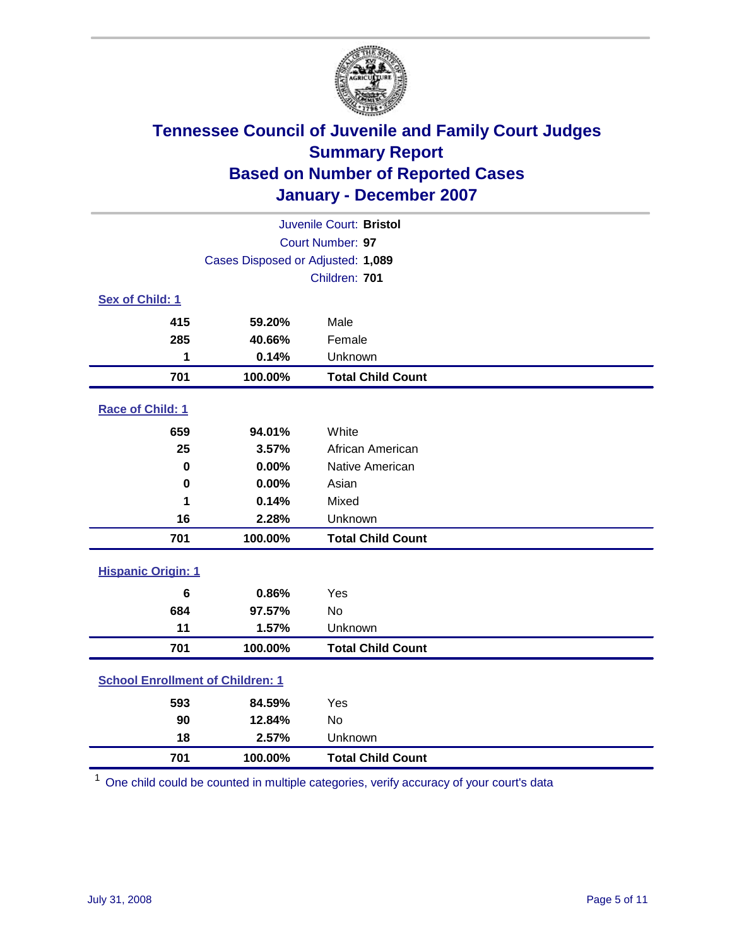

| Juvenile Court: Bristol                 |                                   |                          |  |  |
|-----------------------------------------|-----------------------------------|--------------------------|--|--|
| Court Number: 97                        |                                   |                          |  |  |
|                                         | Cases Disposed or Adjusted: 1,089 |                          |  |  |
|                                         |                                   | Children: 701            |  |  |
| Sex of Child: 1                         |                                   |                          |  |  |
| 415                                     | 59.20%                            | Male                     |  |  |
| 285                                     | 40.66%                            | Female                   |  |  |
| 1                                       | 0.14%                             | Unknown                  |  |  |
| 701                                     | 100.00%                           | <b>Total Child Count</b> |  |  |
| Race of Child: 1                        |                                   |                          |  |  |
| 659                                     | 94.01%                            | White                    |  |  |
| 25                                      | 3.57%                             | African American         |  |  |
| $\bf{0}$                                | 0.00%                             | Native American          |  |  |
| $\bf{0}$                                | 0.00%                             | Asian                    |  |  |
| 1                                       | 0.14%                             | Mixed                    |  |  |
| 16                                      | 2.28%                             | Unknown                  |  |  |
| 701                                     | 100.00%                           | <b>Total Child Count</b> |  |  |
| <b>Hispanic Origin: 1</b>               |                                   |                          |  |  |
| 6                                       | 0.86%                             | Yes                      |  |  |
| 684                                     | 97.57%                            | <b>No</b>                |  |  |
| 11                                      | 1.57%                             | Unknown                  |  |  |
| 701                                     | 100.00%                           | <b>Total Child Count</b> |  |  |
| <b>School Enrollment of Children: 1</b> |                                   |                          |  |  |
| 593                                     | 84.59%                            | Yes                      |  |  |
| 90                                      | 12.84%                            | <b>No</b>                |  |  |
| 18                                      | 2.57%                             | Unknown                  |  |  |
| 701                                     | 100.00%                           | <b>Total Child Count</b> |  |  |

One child could be counted in multiple categories, verify accuracy of your court's data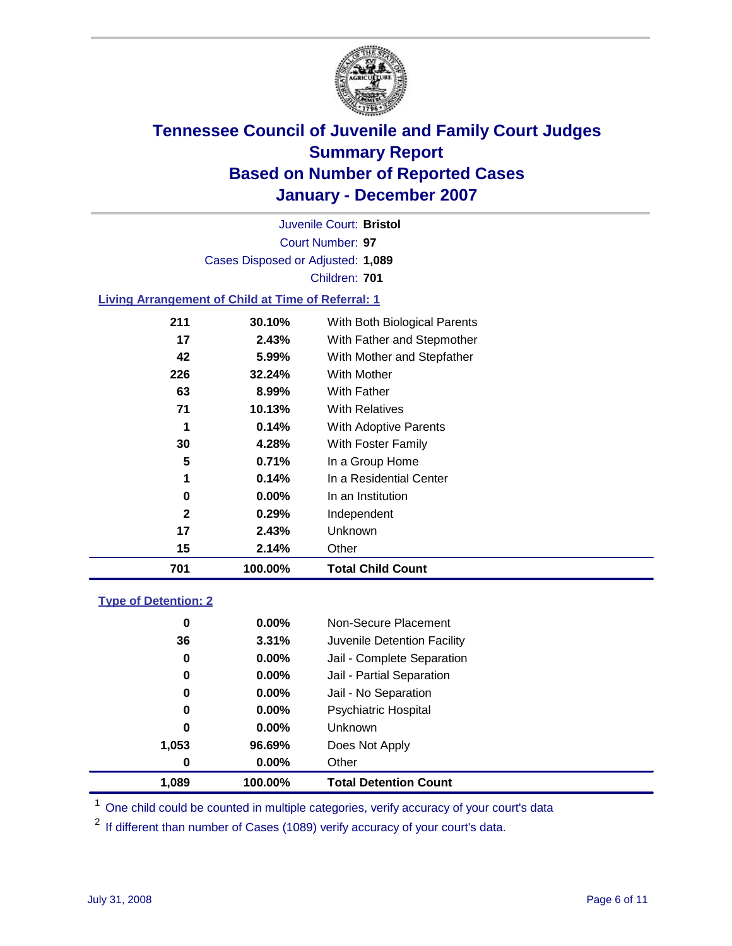

Court Number: **97** Juvenile Court: **Bristol** Cases Disposed or Adjusted: **1,089** Children: **701**

#### **Living Arrangement of Child at Time of Referral: 1**

|     |          | <b>Total Child Count</b>     |
|-----|----------|------------------------------|
| 15  | 2.14%    | Other                        |
| 17  | 2.43%    | Unknown                      |
| 2   | 0.29%    | Independent                  |
| 0   | $0.00\%$ | In an Institution            |
| 1   | 0.14%    | In a Residential Center      |
| 5   | 0.71%    | In a Group Home              |
| 30  | 4.28%    | With Foster Family           |
| 1   | 0.14%    | With Adoptive Parents        |
| 71  | 10.13%   | <b>With Relatives</b>        |
| 63  | 8.99%    | With Father                  |
| 226 | 32.24%   | With Mother                  |
| 42  | 5.99%    | With Mother and Stepfather   |
| 17  | 2.43%    | With Father and Stepmother   |
| 211 | 30.10%   | With Both Biological Parents |
|     |          | 701<br>100.00%               |

#### **Type of Detention: 2**

| 1.089 | 100.00%  | <b>Total Detention Count</b> |  |
|-------|----------|------------------------------|--|
| 0     | 0.00%    | Other                        |  |
| 1,053 | 96.69%   | Does Not Apply               |  |
| 0     | $0.00\%$ | <b>Unknown</b>               |  |
| 0     | 0.00%    | <b>Psychiatric Hospital</b>  |  |
| 0     | 0.00%    | Jail - No Separation         |  |
| 0     | 0.00%    | Jail - Partial Separation    |  |
| 0     | 0.00%    | Jail - Complete Separation   |  |
| 36    | 3.31%    | Juvenile Detention Facility  |  |
| 0     | 0.00%    | Non-Secure Placement         |  |
|       |          |                              |  |

<sup>1</sup> One child could be counted in multiple categories, verify accuracy of your court's data

<sup>2</sup> If different than number of Cases (1089) verify accuracy of your court's data.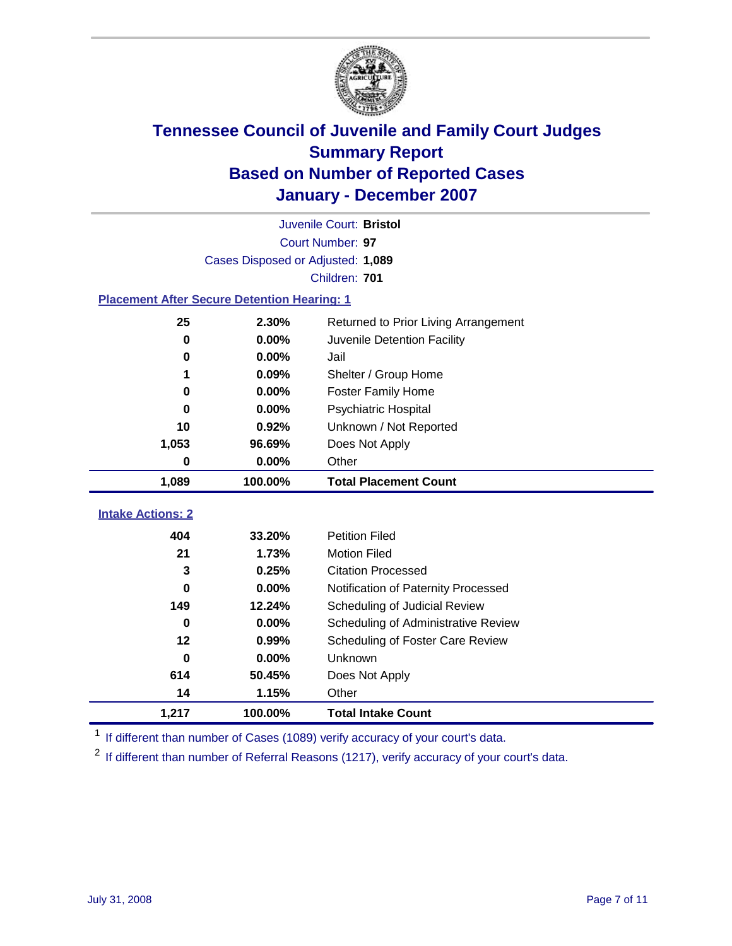

|                                                    | Juvenile Court: Bristol           |                                      |  |  |  |  |  |
|----------------------------------------------------|-----------------------------------|--------------------------------------|--|--|--|--|--|
|                                                    | Court Number: 97                  |                                      |  |  |  |  |  |
|                                                    | Cases Disposed or Adjusted: 1,089 |                                      |  |  |  |  |  |
|                                                    | Children: 701                     |                                      |  |  |  |  |  |
| <b>Placement After Secure Detention Hearing: 1</b> |                                   |                                      |  |  |  |  |  |
| 25                                                 | 2.30%                             | Returned to Prior Living Arrangement |  |  |  |  |  |
| 0                                                  | 0.00%                             | Juvenile Detention Facility          |  |  |  |  |  |
| 0                                                  | 0.00%                             | Jail                                 |  |  |  |  |  |
| 1                                                  | 0.09%                             | Shelter / Group Home                 |  |  |  |  |  |
| 0                                                  | 0.00%                             | Foster Family Home                   |  |  |  |  |  |
| 0                                                  | 0.00%                             | Psychiatric Hospital                 |  |  |  |  |  |
| 10                                                 | 0.92%                             | Unknown / Not Reported               |  |  |  |  |  |
| 1,053                                              | 96.69%                            | Does Not Apply                       |  |  |  |  |  |
| 0                                                  | 0.00%                             | Other                                |  |  |  |  |  |
| 1,089                                              | 100.00%                           | <b>Total Placement Count</b>         |  |  |  |  |  |
| <b>Intake Actions: 2</b>                           |                                   |                                      |  |  |  |  |  |
|                                                    |                                   |                                      |  |  |  |  |  |
| 404                                                | 33.20%                            | <b>Petition Filed</b>                |  |  |  |  |  |
| 21                                                 | 1.73%                             | <b>Motion Filed</b>                  |  |  |  |  |  |
| 3                                                  | 0.25%                             | <b>Citation Processed</b>            |  |  |  |  |  |
| 0                                                  | 0.00%                             | Notification of Paternity Processed  |  |  |  |  |  |
| 149                                                | 12.24%                            | Scheduling of Judicial Review        |  |  |  |  |  |
| 0                                                  | 0.00%                             | Scheduling of Administrative Review  |  |  |  |  |  |
| $12 \,$                                            | 0.99%                             | Scheduling of Foster Care Review     |  |  |  |  |  |
| 0                                                  | 0.00%                             | Unknown                              |  |  |  |  |  |
| 614                                                | 50.45%                            | Does Not Apply                       |  |  |  |  |  |
| 14                                                 | 1.15%                             | Other                                |  |  |  |  |  |
| 1,217                                              | 100.00%                           | <b>Total Intake Count</b>            |  |  |  |  |  |

<sup>1</sup> If different than number of Cases (1089) verify accuracy of your court's data.

<sup>2</sup> If different than number of Referral Reasons (1217), verify accuracy of your court's data.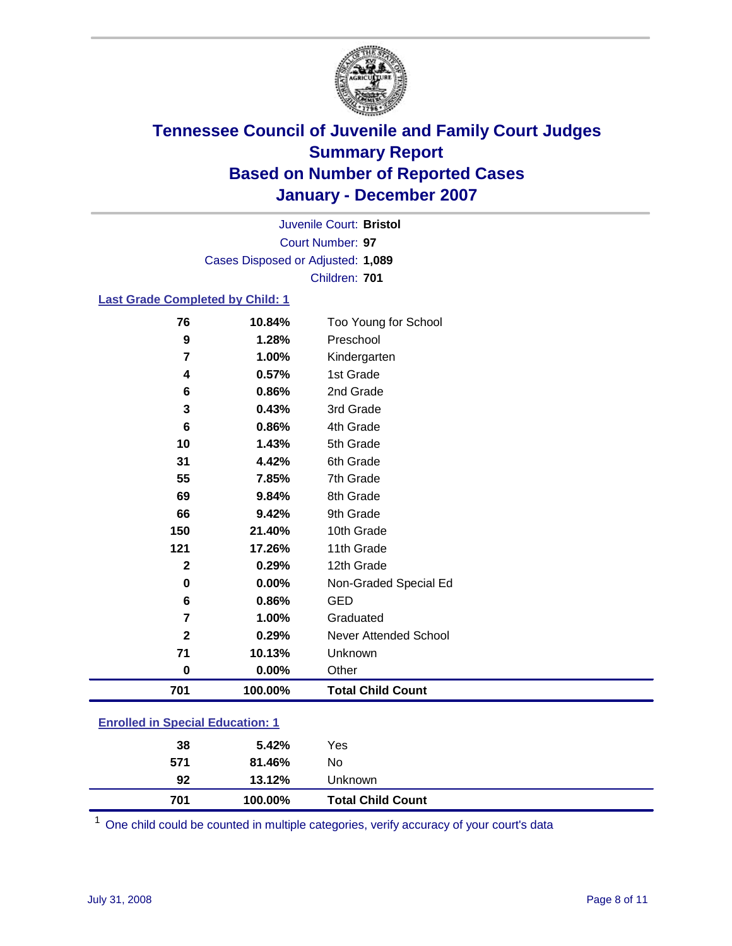

Court Number: **97** Juvenile Court: **Bristol** Cases Disposed or Adjusted: **1,089** Children: **701**

#### **Last Grade Completed by Child: 1**

| 701                     | 100.00% | <b>Total Child Count</b> |
|-------------------------|---------|--------------------------|
| $\bf{0}$                | 0.00%   | Other                    |
| 71                      | 10.13%  | Unknown                  |
| $\mathbf{2}$            | 0.29%   | Never Attended School    |
| $\overline{\mathbf{r}}$ | 1.00%   | Graduated                |
| 6                       | 0.86%   | <b>GED</b>               |
| $\bf{0}$                | 0.00%   | Non-Graded Special Ed    |
| $\mathbf 2$             | 0.29%   | 12th Grade               |
| 121                     | 17.26%  | 11th Grade               |
| 150                     | 21.40%  | 10th Grade               |
| 66                      | 9.42%   | 9th Grade                |
| 69                      | 9.84%   | 8th Grade                |
| 55                      | 7.85%   | 7th Grade                |
| 31                      | 4.42%   | 6th Grade                |
| 10                      | 1.43%   | 5th Grade                |
| $\bf 6$                 | 0.86%   | 4th Grade                |
| 3                       | 0.43%   | 3rd Grade                |
| 6                       | 0.86%   | 2nd Grade                |
| 4                       | 0.57%   | 1st Grade                |
| 7                       | 1.00%   | Kindergarten             |
| $\boldsymbol{9}$        | 1.28%   | Preschool                |
| 76                      | 10.84%  | Too Young for School     |

### **Enrolled in Special Education: 1**

| 701 |
|-----|
| 92  |
| 571 |
| 38  |
|     |

<sup>1</sup> One child could be counted in multiple categories, verify accuracy of your court's data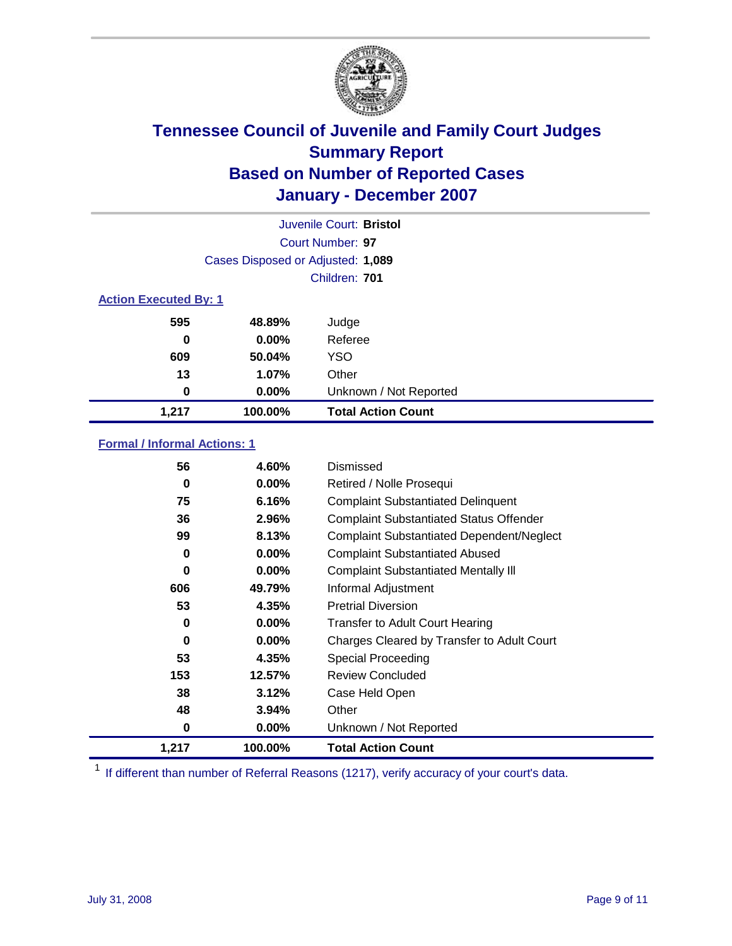

| Juvenile Court: Bristol      |                                   |                           |  |  |  |
|------------------------------|-----------------------------------|---------------------------|--|--|--|
|                              | Court Number: 97                  |                           |  |  |  |
|                              | Cases Disposed or Adjusted: 1,089 |                           |  |  |  |
|                              | Children: 701                     |                           |  |  |  |
| <b>Action Executed By: 1</b> |                                   |                           |  |  |  |
| 595                          | 48.89%                            | Judge                     |  |  |  |
| 0                            | $0.00\%$                          | Referee                   |  |  |  |
| 609                          | 50.04%                            | <b>YSO</b>                |  |  |  |
| 13                           | 1.07%                             | Other                     |  |  |  |
| 0                            | $0.00\%$                          | Unknown / Not Reported    |  |  |  |
| 1,217                        | 100.00%                           | <b>Total Action Count</b> |  |  |  |

### **Formal / Informal Actions: 1**

| 56    | 4.60%    | Dismissed                                        |
|-------|----------|--------------------------------------------------|
| 0     | $0.00\%$ | Retired / Nolle Prosequi                         |
| 75    | 6.16%    | <b>Complaint Substantiated Delinquent</b>        |
| 36    | 2.96%    | <b>Complaint Substantiated Status Offender</b>   |
| 99    | 8.13%    | <b>Complaint Substantiated Dependent/Neglect</b> |
| 0     | $0.00\%$ | <b>Complaint Substantiated Abused</b>            |
| 0     | $0.00\%$ | <b>Complaint Substantiated Mentally III</b>      |
| 606   | 49.79%   | Informal Adjustment                              |
| 53    | 4.35%    | <b>Pretrial Diversion</b>                        |
| 0     | $0.00\%$ | <b>Transfer to Adult Court Hearing</b>           |
| 0     | $0.00\%$ | Charges Cleared by Transfer to Adult Court       |
| 53    | 4.35%    | Special Proceeding                               |
| 153   | 12.57%   | <b>Review Concluded</b>                          |
| 38    | 3.12%    | Case Held Open                                   |
| 48    | 3.94%    | Other                                            |
| 0     | $0.00\%$ | Unknown / Not Reported                           |
| 1,217 | 100.00%  | <b>Total Action Count</b>                        |

<sup>1</sup> If different than number of Referral Reasons (1217), verify accuracy of your court's data.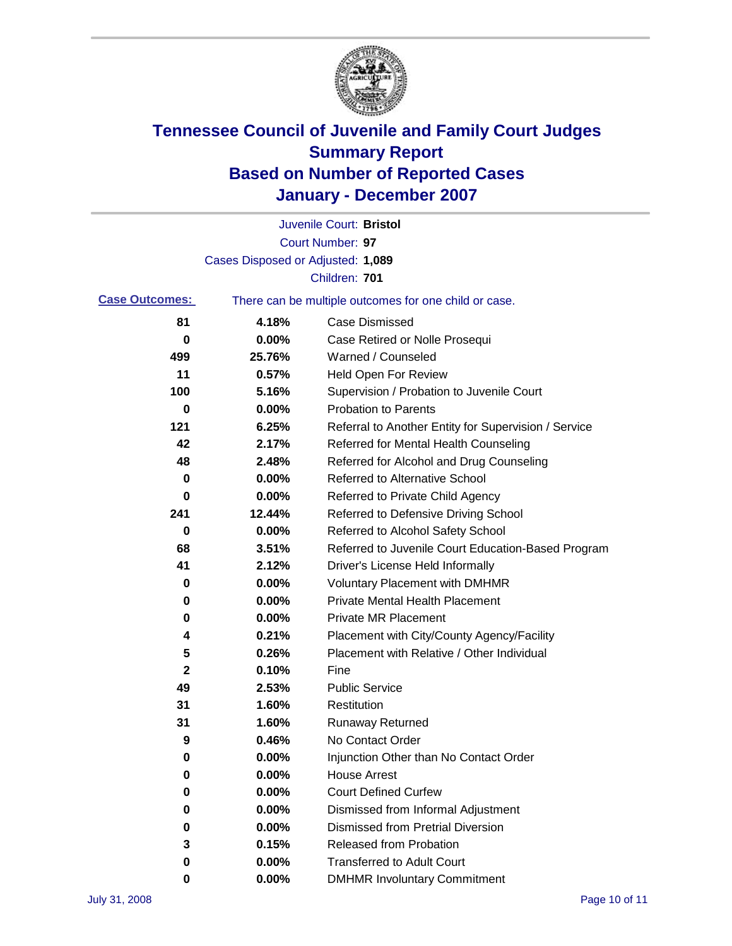

|                       |                                   | Juvenile Court: Bristol                               |
|-----------------------|-----------------------------------|-------------------------------------------------------|
|                       |                                   | Court Number: 97                                      |
|                       | Cases Disposed or Adjusted: 1,089 |                                                       |
|                       |                                   | Children: 701                                         |
| <b>Case Outcomes:</b> |                                   | There can be multiple outcomes for one child or case. |
| 81                    | 4.18%                             | <b>Case Dismissed</b>                                 |
| 0                     | 0.00%                             | Case Retired or Nolle Prosequi                        |
| 499                   | 25.76%                            | Warned / Counseled                                    |
| 11                    | 0.57%                             | Held Open For Review                                  |
| 100                   | 5.16%                             | Supervision / Probation to Juvenile Court             |
| 0                     | 0.00%                             | <b>Probation to Parents</b>                           |
| 121                   | 6.25%                             | Referral to Another Entity for Supervision / Service  |
| 42                    | 2.17%                             | Referred for Mental Health Counseling                 |
| 48                    | 2.48%                             | Referred for Alcohol and Drug Counseling              |
| 0                     | 0.00%                             | <b>Referred to Alternative School</b>                 |
| 0                     | 0.00%                             | Referred to Private Child Agency                      |
| 241                   | 12.44%                            | Referred to Defensive Driving School                  |
| 0                     | 0.00%                             | Referred to Alcohol Safety School                     |
| 68                    | 3.51%                             | Referred to Juvenile Court Education-Based Program    |
| 41                    | 2.12%                             | Driver's License Held Informally                      |
| 0                     | 0.00%                             | <b>Voluntary Placement with DMHMR</b>                 |
| 0                     | 0.00%                             | <b>Private Mental Health Placement</b>                |
| 0                     | 0.00%                             | <b>Private MR Placement</b>                           |
| 4                     | 0.21%                             | Placement with City/County Agency/Facility            |
| 5                     | 0.26%                             | Placement with Relative / Other Individual            |
| 2                     | 0.10%                             | Fine                                                  |
| 49                    | 2.53%                             | <b>Public Service</b>                                 |
| 31                    | 1.60%                             | Restitution                                           |
| 31                    | 1.60%                             | <b>Runaway Returned</b>                               |
| 9                     | 0.46%                             | No Contact Order                                      |
| 0                     | $0.00\%$                          | Injunction Other than No Contact Order                |
| 0                     | 0.00%                             | <b>House Arrest</b>                                   |
| 0                     | 0.00%                             | <b>Court Defined Curfew</b>                           |
| 0                     | 0.00%                             | Dismissed from Informal Adjustment                    |
| 0                     | 0.00%                             | <b>Dismissed from Pretrial Diversion</b>              |
| 3                     | 0.15%                             | <b>Released from Probation</b>                        |
| 0                     | 0.00%                             | <b>Transferred to Adult Court</b>                     |
| 0                     | 0.00%                             | <b>DMHMR Involuntary Commitment</b>                   |